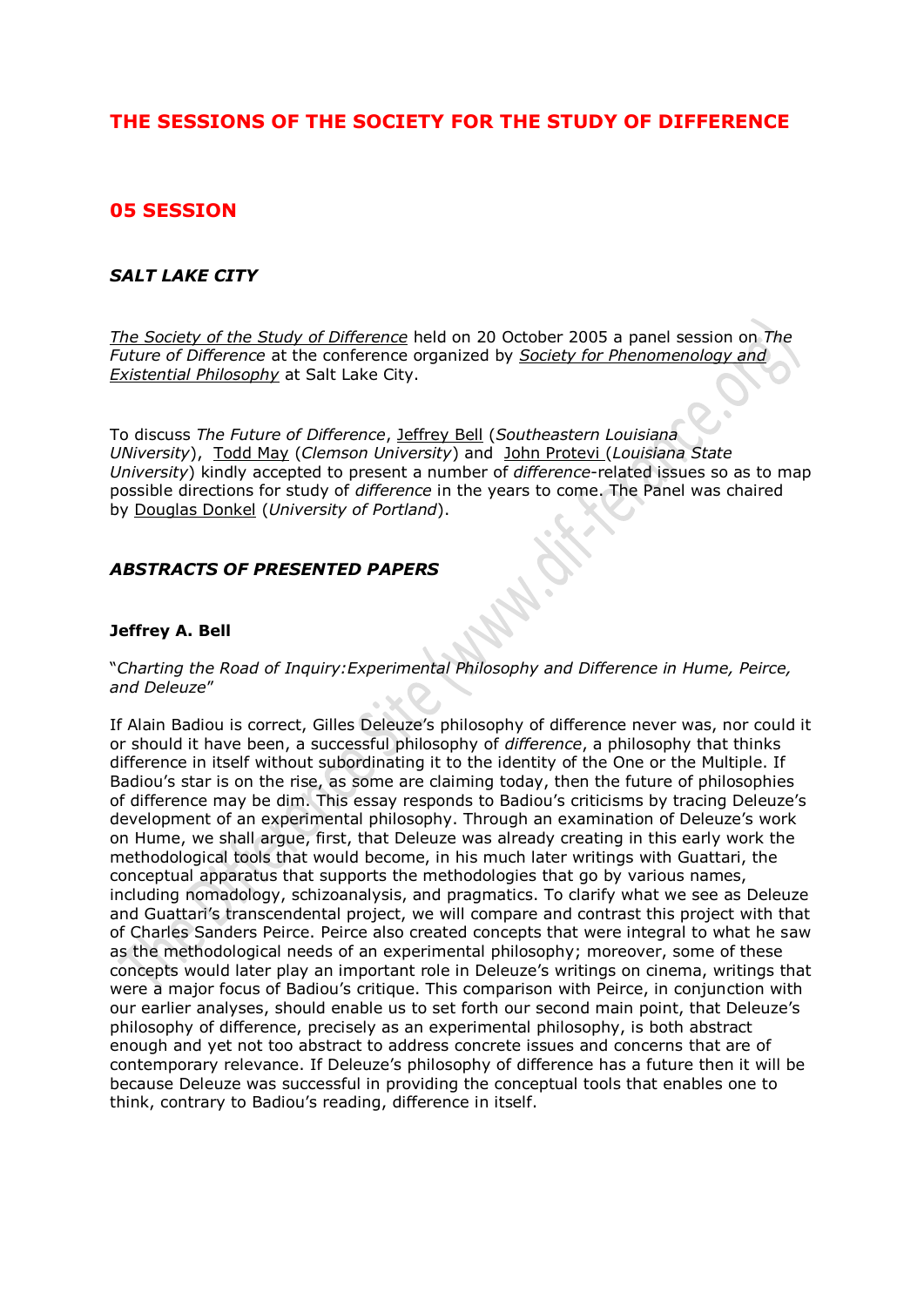# **THE SESSIONS OF THE SOCIETY FOR THE STUDY OF DIFFERENCE**

## **05 SESSION**

## *SALT LAKE CITY*

*[The Society of the Study of Difference](http://www.dif-ferance.org/29601/index.html)* held on 20 October 2005 a panel session on *The Future of Difference* at the conference organized by *[Society for Phenomenology and](http://www.spep.org/)  [Existential Philosophy](http://www.spep.org/)* at Salt Lake City.

To discuss *The Future of Difference*, [Jeffrey Bell](http://www.dif-ferance.org/4771/21801.html) (*Southeastern Louisiana UNiversity*), [Todd May](http://www.dif-ferance.org/4771/20801.html) (*Clemson University*) and [John Protevi](http://www.dif-ferance.org/4771/58601.html) (*Louisiana State University*) kindly accepted to present a number of *difference*-related issues so as to map possible directions for study of *difference* in the years to come. The Panel was chaired by [Douglas Donkel](http://www.dif-ferance.org/4771/20201.html) (*University of Portland*).

## *ABSTRACTS OF PRESENTED PAPERS*

#### **Jeffrey A. Bell**

#### "*Charting the Road of Inquiry:Experimental Philosophy and Difference in Hume, Peirce, and Deleuze*"

If Alain Badiou is correct, Gilles Deleuze's philosophy of difference never was, nor could it or should it have been, a successful philosophy of *difference*, a philosophy that thinks difference in itself without subordinating it to the identity of the One or the Multiple. If Badiou's star is on the rise, as some are claiming today, then the future of philosophies of difference may be dim. This essay responds to Badiou's criticisms by tracing Deleuze's development of an experimental philosophy. Through an examination of Deleuze's work on Hume, we shall argue, first, that Deleuze was already creating in this early work the methodological tools that would become, in his much later writings with Guattari, the conceptual apparatus that supports the methodologies that go by various names, including nomadology, schizoanalysis, and pragmatics. To clarify what we see as Deleuze and Guattari's transcendental project, we will compare and contrast this project with that of Charles Sanders Peirce. Peirce also created concepts that were integral to what he saw as the methodological needs of an experimental philosophy; moreover, some of these concepts would later play an important role in Deleuze's writings on cinema, writings that were a major focus of Badiou's critique. This comparison with Peirce, in conjunction with our earlier analyses, should enable us to set forth our second main point, that Deleuze's philosophy of difference, precisely as an experimental philosophy, is both abstract enough and yet not too abstract to address concrete issues and concerns that are of contemporary relevance. If Deleuze's philosophy of difference has a future then it will be because Deleuze was successful in providing the conceptual tools that enables one to think, contrary to Badiou's reading, difference in itself.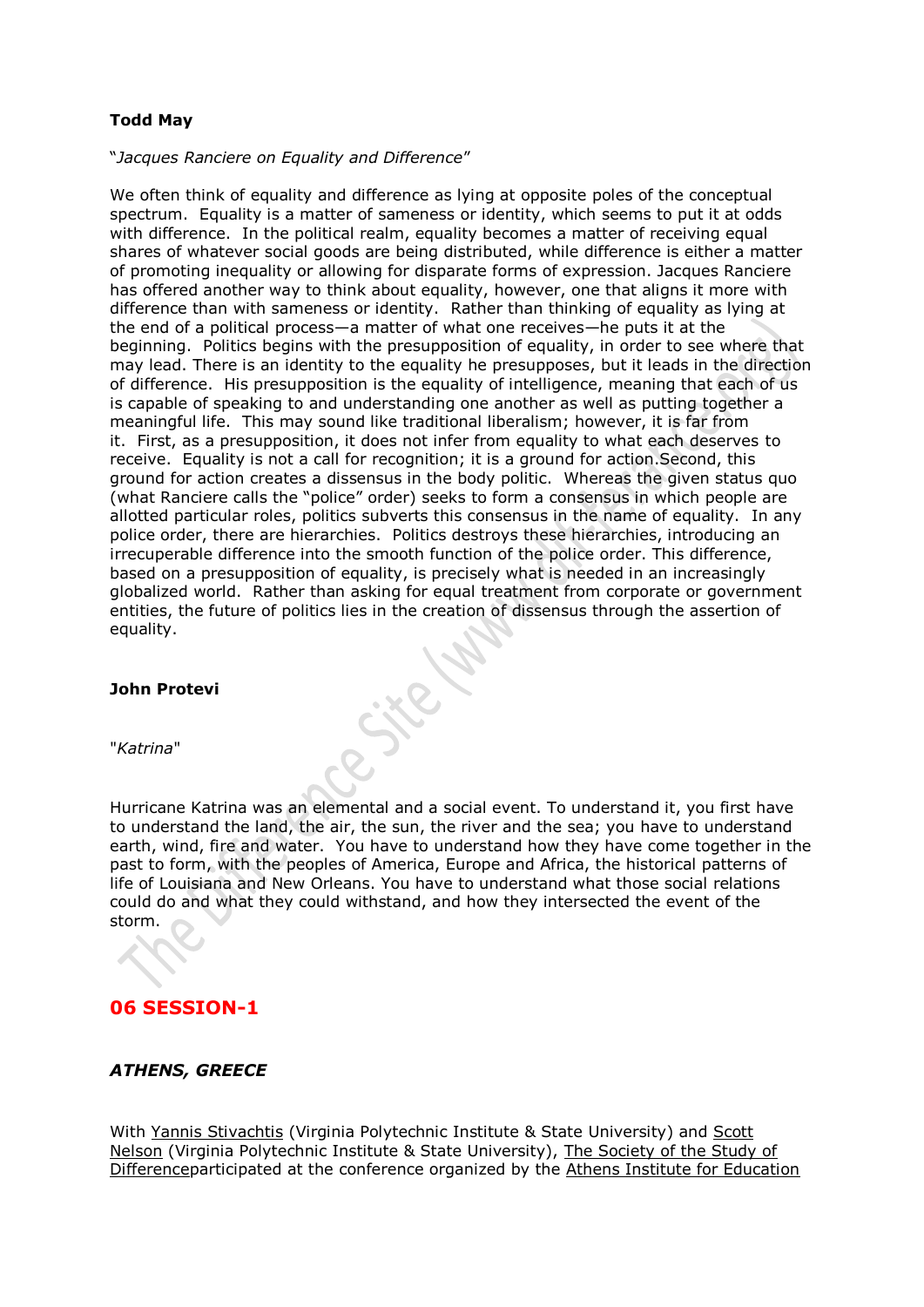## **Todd May**

#### "*Jacques Ranciere on Equality and Difference*"

We often think of equality and difference as lying at opposite poles of the conceptual spectrum. Equality is a matter of sameness or identity, which seems to put it at odds with difference. In the political realm, equality becomes a matter of receiving equal shares of whatever social goods are being distributed, while difference is either a matter of promoting inequality or allowing for disparate forms of expression. Jacques Ranciere has offered another way to think about equality, however, one that aligns it more with difference than with sameness or identity. Rather than thinking of equality as lying at the end of a political process—a matter of what one receives—he puts it at the beginning. Politics begins with the presupposition of equality, in order to see where that may lead. There is an identity to the equality he presupposes, but it leads in the direction of difference. His presupposition is the equality of intelligence, meaning that each of us is capable of speaking to and understanding one another as well as putting together a meaningful life. This may sound like traditional liberalism; however, it is far from it. First, as a presupposition, it does not infer from equality to what each deserves to receive. Equality is not a call for recognition; it is a ground for action.Second, this ground for action creates a dissensus in the body politic. Whereas the given status quo (what Ranciere calls the "police" order) seeks to form a consensus in which people are allotted particular roles, politics subverts this consensus in the name of equality. In any police order, there are hierarchies. Politics destroys these hierarchies, introducing an irrecuperable difference into the smooth function of the police order. This difference, based on a presupposition of equality, is precisely what is needed in an increasingly globalized world. Rather than asking for equal treatment from corporate or government entities, the future of politics lies in the creation of dissensus through the assertion of equality.

#### **John Protevi**

"*Katrina*"

Hurricane Katrina was an elemental and a social event. To understand it, you first have to understand the land, the air, the sun, the river and the sea; you have to understand earth, wind, fire and water. You have to understand how they have come together in the past to form, with the peoples of America, Europe and Africa, the historical patterns of life of Louisiana and New Orleans. You have to understand what those social relations could do and what they could withstand, and how they intersected the event of the storm.

## **06 SESSION-1**

#### *ATHENS, GREECE*

With [Yannis Stivachtis](http://www.dif-ferance.org/4771/35201.html) (Virginia Polytechnic Institute & State University) and [Scott](http://www.dif-ferance.org/4771/60765.html)  [Nelson](http://www.dif-ferance.org/4771/60765.html) (Virginia Polytechnic Institute & State University), [The Society of the Study of](http://www.dif-ferance.org/29601/index.html)  [Differencep](http://www.dif-ferance.org/29601/index.html)articipated at the conference organized by the [Athens Institute for Education](http://www.atiner.gr/)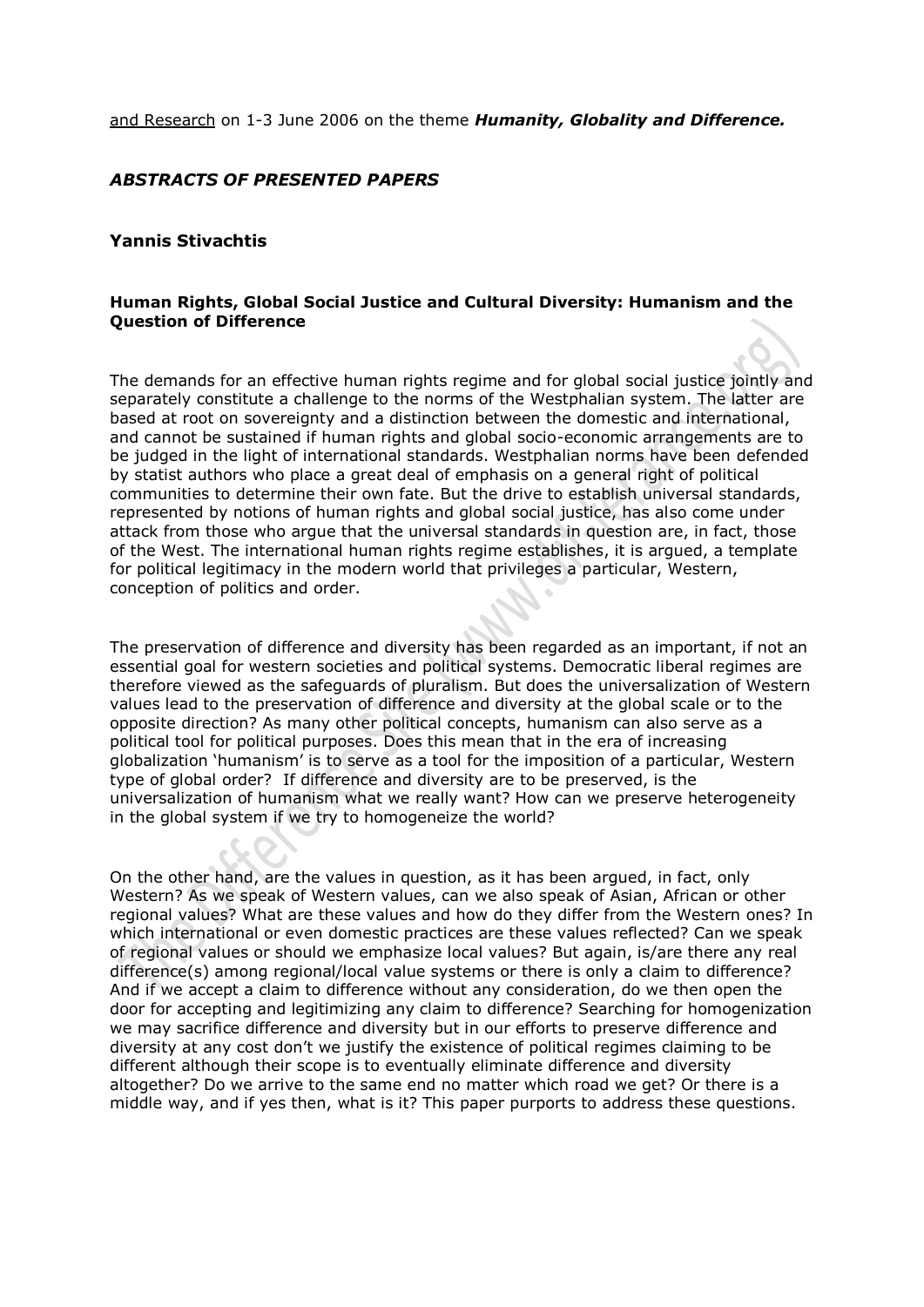[and Research](http://www.atiner.gr/) on 1-3 June 2006 on the theme *Humanity, Globality and Difference.*

## *ABSTRACTS OF PRESENTED PAPERS*

### **Yannis Stivachtis**

#### **Human Rights, Global Social Justice and Cultural Diversity: Humanism and the Question of Difference**

The demands for an effective human rights regime and for global social justice jointly and separately constitute a challenge to the norms of the Westphalian system. The latter are based at root on sovereignty and a distinction between the domestic and international, and cannot be sustained if human rights and global socio-economic arrangements are to be judged in the light of international standards. Westphalian norms have been defended by statist authors who place a great deal of emphasis on a general right of political communities to determine their own fate. But the drive to establish universal standards, represented by notions of human rights and global social justice, has also come under attack from those who argue that the universal standards in question are, in fact, those of the West. The international human rights regime establishes, it is argued, a template for political legitimacy in the modern world that privileges a particular, Western, conception of politics and order.

The preservation of difference and diversity has been regarded as an important, if not an essential goal for western societies and political systems. Democratic liberal regimes are therefore viewed as the safeguards of pluralism. But does the universalization of Western values lead to the preservation of difference and diversity at the global scale or to the opposite direction? As many other political concepts, humanism can also serve as a political tool for political purposes. Does this mean that in the era of increasing globalization 'humanism' is to serve as a tool for the imposition of a particular, Western type of global order? If difference and diversity are to be preserved, is the universalization of humanism what we really want? How can we preserve heterogeneity in the global system if we try to homogeneize the world?

On the other hand, are the values in question, as it has been argued, in fact, only Western? As we speak of Western values, can we also speak of Asian, African or other regional values? What are these values and how do they differ from the Western ones? In which international or even domestic practices are these values reflected? Can we speak of regional values or should we emphasize local values? But again, is/are there any real difference(s) among regional/local value systems or there is only a claim to difference? And if we accept a claim to difference without any consideration, do we then open the door for accepting and legitimizing any claim to difference? Searching for homogenization we may sacrifice difference and diversity but in our efforts to preserve difference and diversity at any cost don't we justify the existence of political regimes claiming to be different although their scope is to eventually eliminate difference and diversity altogether? Do we arrive to the same end no matter which road we get? Or there is a middle way, and if yes then, what is it? This paper purports to address these questions.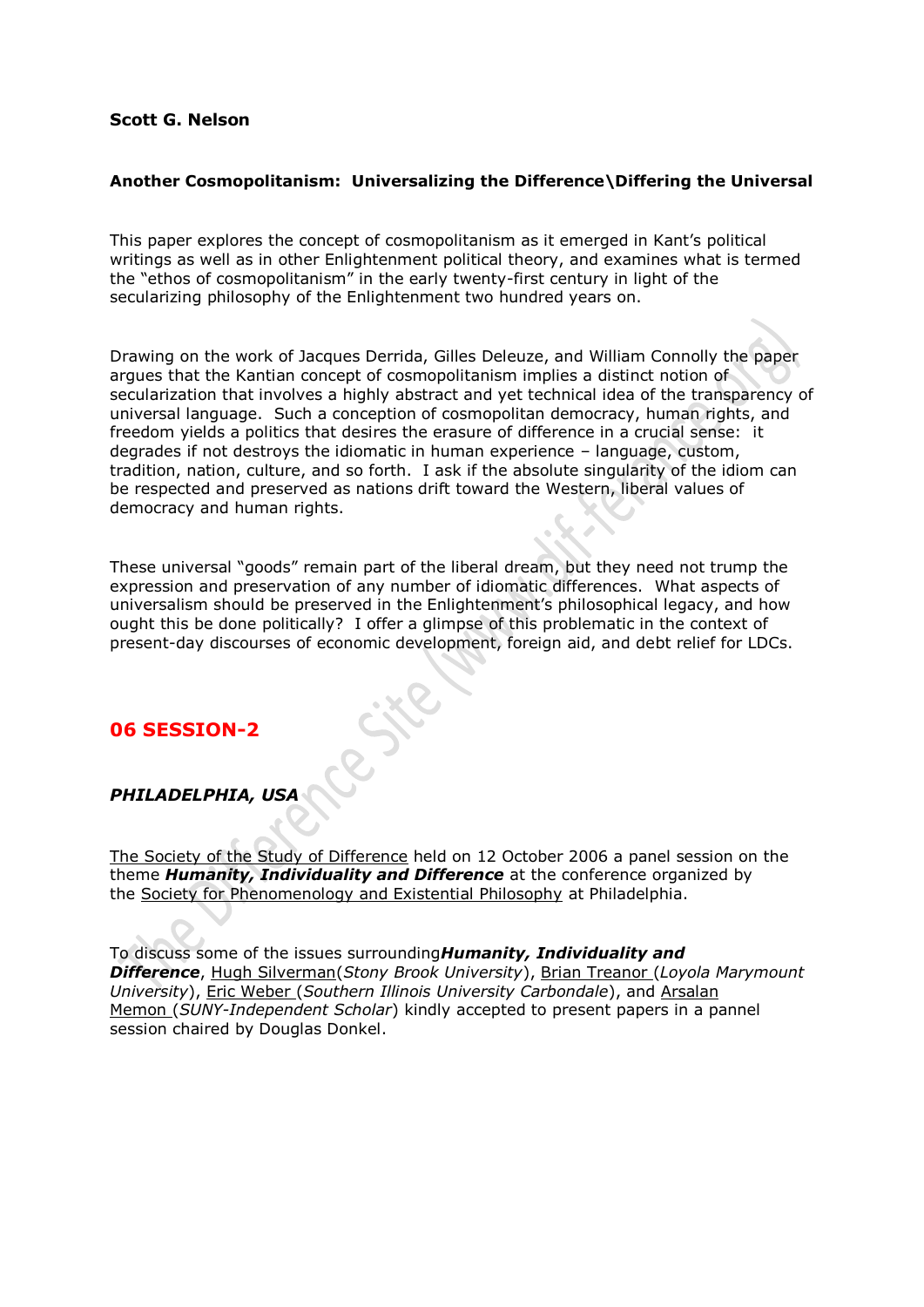## **Scott G. Nelson**

#### **Another Cosmopolitanism: Universalizing the Difference\Differing the Universal**

This paper explores the concept of cosmopolitanism as it emerged in Kant's political writings as well as in other Enlightenment political theory, and examines what is termed the "ethos of cosmopolitanism" in the early twenty-first century in light of the secularizing philosophy of the Enlightenment two hundred years on.

Drawing on the work of Jacques Derrida, Gilles Deleuze, and William Connolly the paper argues that the Kantian concept of cosmopolitanism implies a distinct notion of secularization that involves a highly abstract and yet technical idea of the transparency of universal language. Such a conception of cosmopolitan democracy, human rights, and freedom yields a politics that desires the erasure of difference in a crucial sense: it degrades if not destroys the idiomatic in human experience – language, custom, tradition, nation, culture, and so forth. I ask if the absolute singularity of the idiom can be respected and preserved as nations drift toward the Western, liberal values of democracy and human rights.

These universal "goods" remain part of the liberal dream, but they need not trump the expression and preservation of any number of idiomatic differences. What aspects of universalism should be preserved in the Enlightenment's philosophical legacy, and how ought this be done politically? I offer a glimpse of this problematic in the context of present-day discourses of economic development, foreign aid, and debt relief for LDCs.

## **06 SESSION-2**

## *PHILADELPHIA, USA*

[The Society of the Study of Difference](http://www.dif-ferance.org/29601/index.html) held on 12 October 2006 a panel session on the theme *Humanity, Individuality and Difference* at the conference organized by the [Society for Phenomenology and Existential Philosophy](http://www.spep.org/) at Philadelphia.

To discuss some of the issues surrounding*Humanity, Individuality and Difference*, [Hugh Silverman\(](http://www.dif-ferance.org/4771/69638.html)*Stony Brook University*), [Brian Treanor](http://www.dif-ferance.org/4771/70338.html) (*Loyola Marymount University*), [Eric Weber](http://www.dif-ferance.org/4771/52301.html) (*Southern Illinois University Carbondale*), and [Arsalan](http://www.dif-ferance.org/4771/52301.html)  [Memon](http://www.dif-ferance.org/4771/52301.html) (*SUNY-Independent Scholar*) kindly accepted to present papers in a pannel session chaired by Douglas Donkel.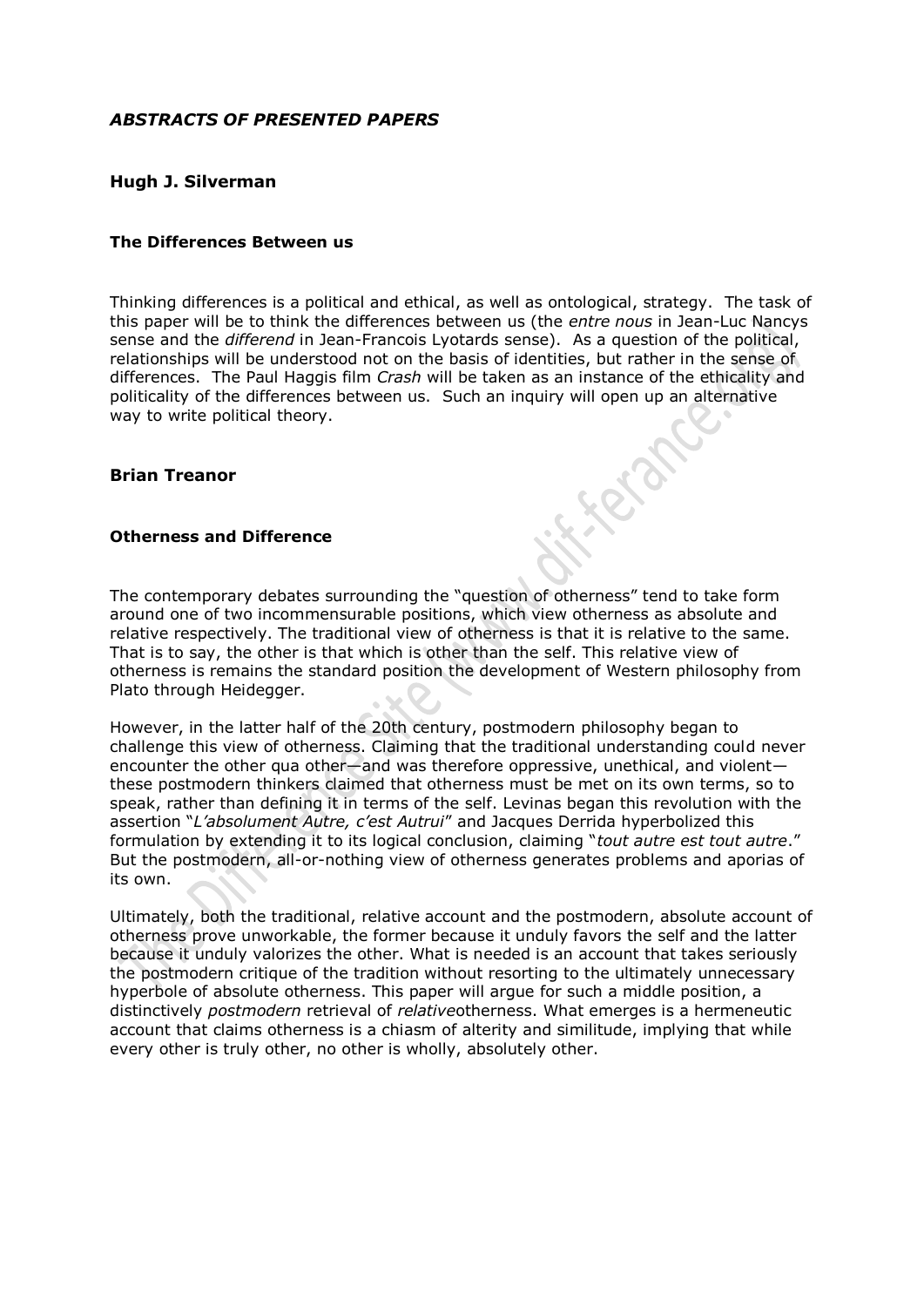## *ABSTRACTS OF PRESENTED PAPERS*

## **Hugh J. Silverman**

#### **The Differences Between us**

Thinking differences is a political and ethical, as well as ontological, strategy. The task of this paper will be to think the differences between us (the *entre nous* in Jean-Luc Nancys sense and the *differend* in Jean-Francois Lyotards sense). As a question of the political, relationships will be understood not on the basis of identities, but rather in the sense of differences. The Paul Haggis film *Crash* will be taken as an instance of the ethicality and politicality of the differences between us. Such an inquiry will open up an alternative way to write political theory.

#### **Brian Treanor**

#### **Otherness and Difference**

The contemporary debates surrounding the "question of otherness" tend to take form around one of two incommensurable positions, which view otherness as absolute and relative respectively. The traditional view of otherness is that it is relative to the same. That is to say, the other is that which is other than the self. This relative view of otherness is remains the standard position the development of Western philosophy from Plato through Heidegger.

However, in the latter half of the 20th century, postmodern philosophy began to challenge this view of otherness. Claiming that the traditional understanding could never encounter the other qua other—and was therefore oppressive, unethical, and violent these postmodern thinkers claimed that otherness must be met on its own terms, so to speak, rather than defining it in terms of the self. Levinas began this revolution with the assertion "*L'absolument Autre, c'est Autrui*" and Jacques Derrida hyperbolized this formulation by extending it to its logical conclusion, claiming "*tout autre est tout autre*." But the postmodern, all-or-nothing view of otherness generates problems and aporias of its own.

Ultimately, both the traditional, relative account and the postmodern, absolute account of otherness prove unworkable, the former because it unduly favors the self and the latter because it unduly valorizes the other. What is needed is an account that takes seriously the postmodern critique of the tradition without resorting to the ultimately unnecessary hyperbole of absolute otherness. This paper will argue for such a middle position, a distinctively *postmodern* retrieval of *relative*otherness. What emerges is a hermeneutic account that claims otherness is a chiasm of alterity and similitude, implying that while every other is truly other, no other is wholly, absolutely other.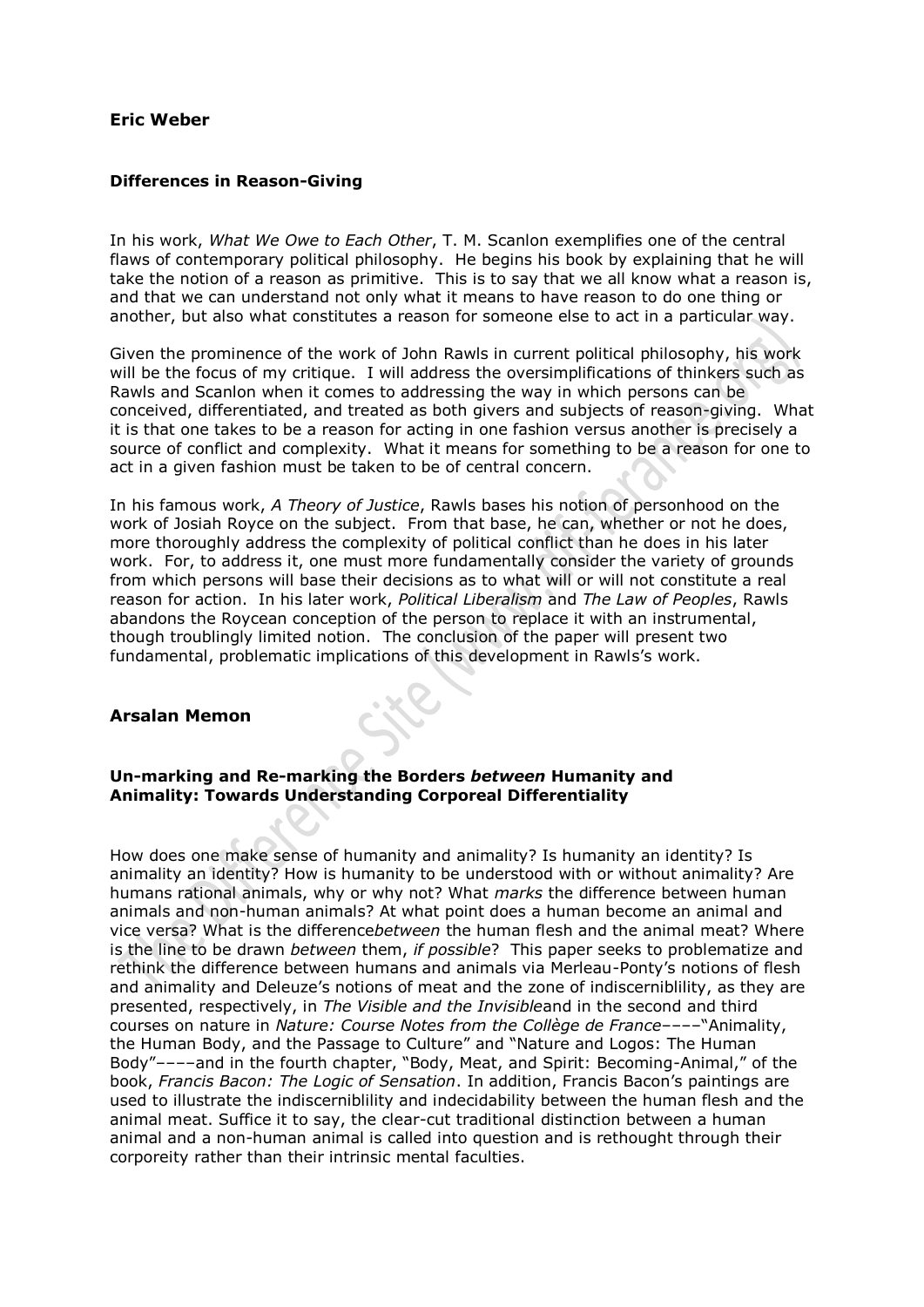## **Eric Weber**

#### **Differences in Reason-Giving**

In his work, *What We Owe to Each Other*, T. M. Scanlon exemplifies one of the central flaws of contemporary political philosophy. He begins his book by explaining that he will take the notion of a reason as primitive. This is to say that we all know what a reason is, and that we can understand not only what it means to have reason to do one thing or another, but also what constitutes a reason for someone else to act in a particular way.

Given the prominence of the work of John Rawls in current political philosophy, his work will be the focus of my critique. I will address the oversimplifications of thinkers such as Rawls and Scanlon when it comes to addressing the way in which persons can be conceived, differentiated, and treated as both givers and subjects of reason-giving. What it is that one takes to be a reason for acting in one fashion versus another is precisely a source of conflict and complexity. What it means for something to be a reason for one to act in a given fashion must be taken to be of central concern.

In his famous work, *A Theory of Justice*, Rawls bases his notion of personhood on the work of Josiah Royce on the subject. From that base, he can, whether or not he does, more thoroughly address the complexity of political conflict than he does in his later work. For, to address it, one must more fundamentally consider the variety of grounds from which persons will base their decisions as to what will or will not constitute a real reason for action. In his later work, *Political Liberalism* and *The Law of Peoples*, Rawls abandons the Roycean conception of the person to replace it with an instrumental, though troublingly limited notion. The conclusion of the paper will present two fundamental, problematic implications of this development in Rawls's work.

## **Arsalan Memon**

### **Un-marking and Re-marking the Borders** *between* **Humanity and Animality: Towards Understanding Corporeal Differentiality**

How does one make sense of humanity and animality? Is humanity an identity? Is animality an identity? How is humanity to be understood with or without animality? Are humans rational animals, why or why not? What *marks* the difference between human animals and non-human animals? At what point does a human become an animal and vice versa? What is the difference*between* the human flesh and the animal meat? Where is the line to be drawn *between* them, *if possible*? This paper seeks to problematize and rethink the difference between humans and animals via Merleau-Ponty's notions of flesh and animality and Deleuze's notions of meat and the zone of indiscerniblility, as they are presented, respectively, in *The Visible and the Invisible*and in the second and third courses on nature in *Nature: Course Notes from the Collège de France*––––"Animality, the Human Body, and the Passage to Culture" and "Nature and Logos: The Human Body"––––and in the fourth chapter, "Body, Meat, and Spirit: Becoming-Animal," of the book, *Francis Bacon: The Logic of Sensation*. In addition, Francis Bacon's paintings are used to illustrate the indiscerniblility and indecidability between the human flesh and the animal meat. Suffice it to say, the clear-cut traditional distinction between a human animal and a non-human animal is called into question and is rethought through their corporeity rather than their intrinsic mental faculties.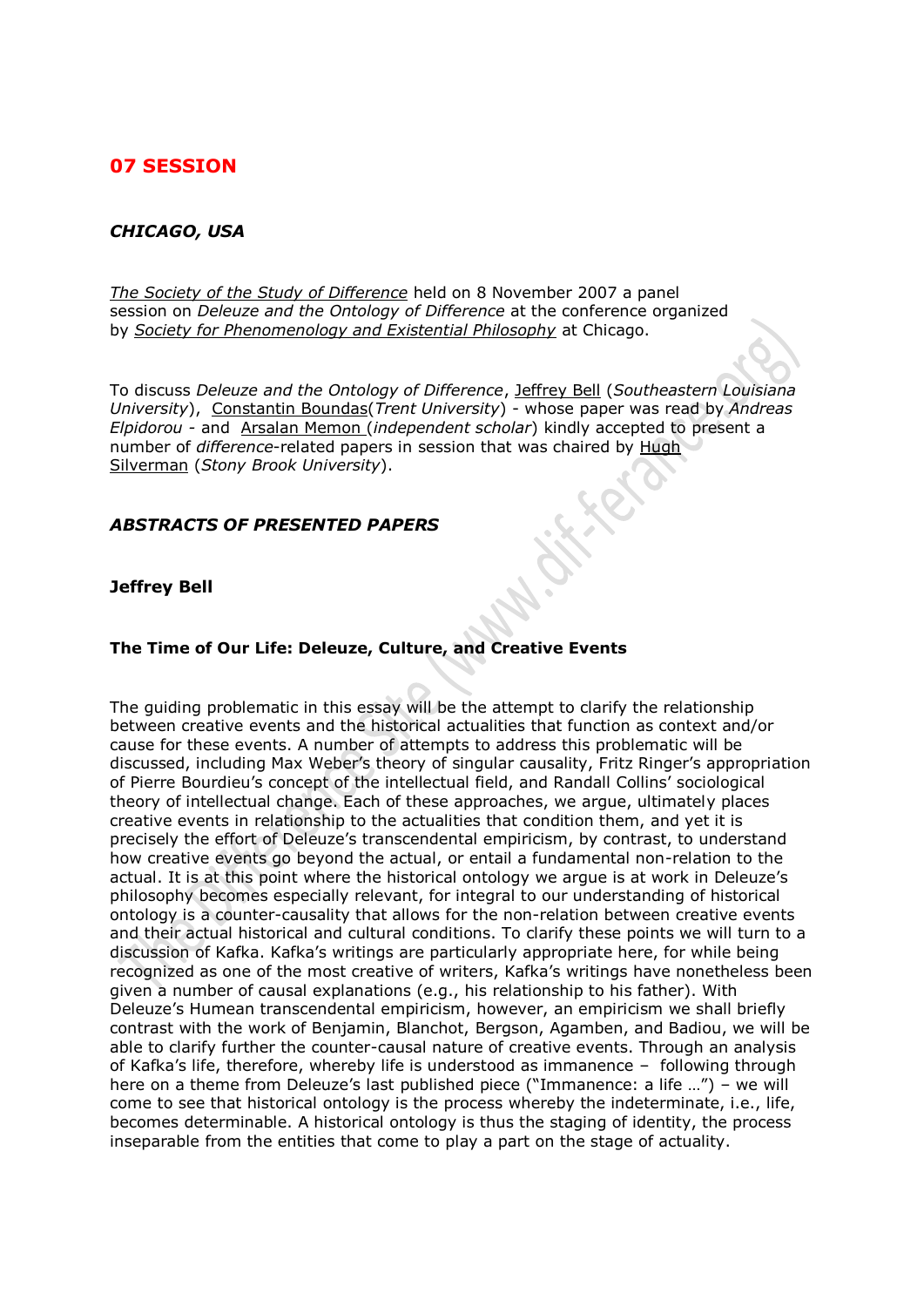## **07 SESSION**

## *CHICAGO, USA*

*[The Society of the Study of Difference](http://www.dif-ferance.org/29601/index.html)* held on 8 November 2007 a panel session on *Deleuze and the Ontology of Difference* at the conference organized by *[Society for Phenomenology and Existential Philosophy](http://www.spep.org/)* at Chicago.

To discuss *Deleuze and the Ontology of Difference*, [Jeffrey Bell](http://www.dif-ferance.org/4771/21801.html) (*Southeastern Louisiana University*), [Constantin Boundas\(](http://www.dif-ferance.org/4771/77323.html)*Trent University*) - whose paper was read by *Andreas Elpidorou -* and [Arsalan Memon](http://www.dif-ferance.org/4771/52301.html) (*independent scholar*) kindly accepted to present a number of *difference*-related papers in session that was chaired by [Hugh](http://www.dif-ferance.org/4771/69638.html)  [Silverman](http://www.dif-ferance.org/4771/69638.html) (*Stony Brook University*).

### *ABSTRACTS OF PRESENTED PAPERS*

### **Jeffrey Bell**

## **The Time of Our Life: Deleuze, Culture, and Creative Events**

The guiding problematic in this essay will be the attempt to clarify the relationship between creative events and the historical actualities that function as context and/or cause for these events. A number of attempts to address this problematic will be discussed, including Max Weber's theory of singular causality, Fritz Ringer's appropriation of Pierre Bourdieu's concept of the intellectual field, and Randall Collins' sociological theory of intellectual change. Each of these approaches, we argue, ultimately places creative events in relationship to the actualities that condition them, and yet it is precisely the effort of Deleuze's transcendental empiricism, by contrast, to understand how creative events go beyond the actual, or entail a fundamental non-relation to the actual. It is at this point where the historical ontology we argue is at work in Deleuze's philosophy becomes especially relevant, for integral to our understanding of historical ontology is a counter-causality that allows for the non-relation between creative events and their actual historical and cultural conditions. To clarify these points we will turn to a discussion of Kafka. Kafka's writings are particularly appropriate here, for while being recognized as one of the most creative of writers, Kafka's writings have nonetheless been given a number of causal explanations (e.g., his relationship to his father). With Deleuze's Humean transcendental empiricism, however, an empiricism we shall briefly contrast with the work of Benjamin, Blanchot, Bergson, Agamben, and Badiou, we will be able to clarify further the counter-causal nature of creative events. Through an analysis of Kafka's life, therefore, whereby life is understood as immanence – following through here on a theme from Deleuze's last published piece ("Immanence: a life …") – we will come to see that historical ontology is the process whereby the indeterminate, i.e., life, becomes determinable. A historical ontology is thus the staging of identity, the process inseparable from the entities that come to play a part on the stage of actuality.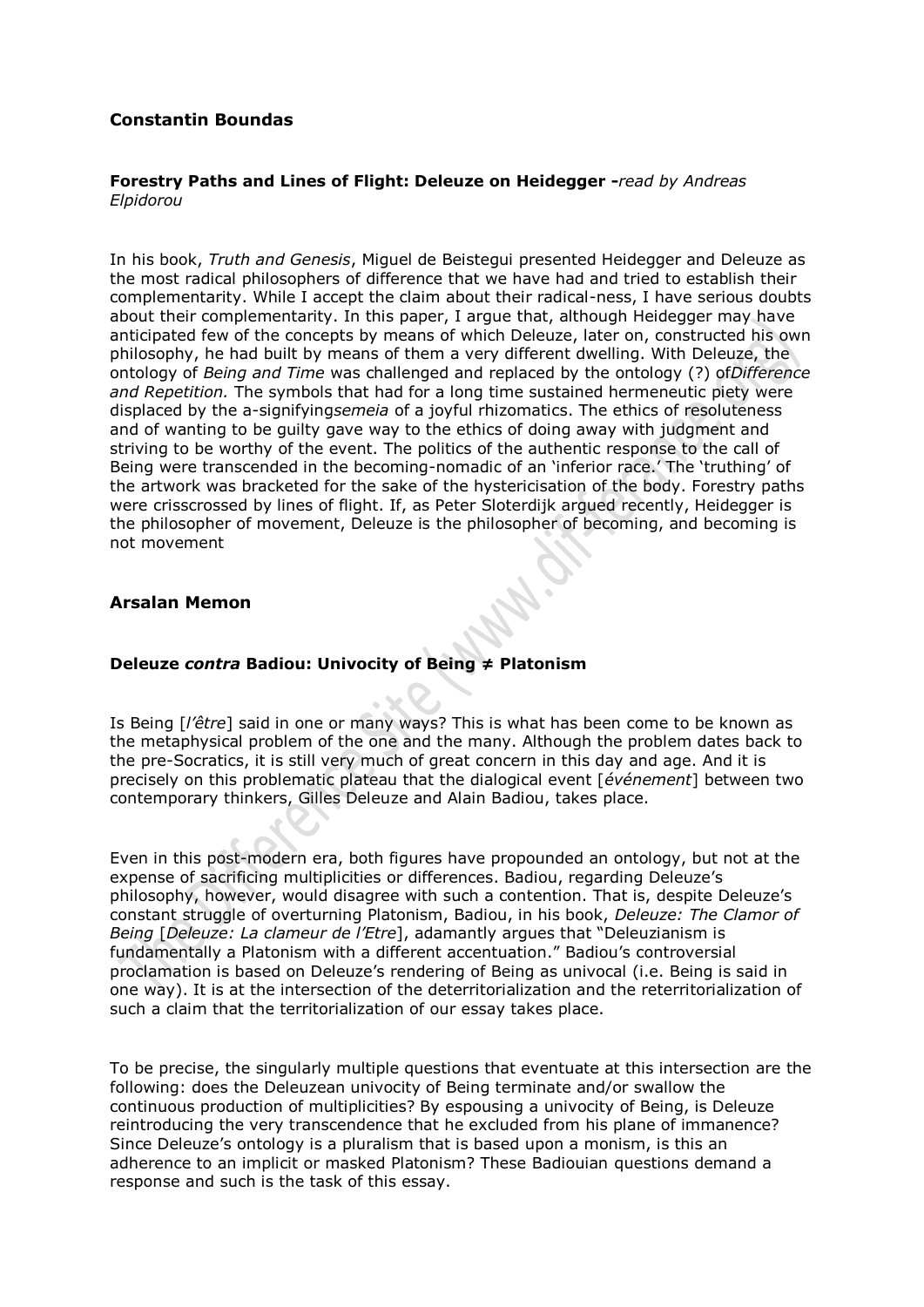### **Constantin Boundas**

#### **Forestry Paths and Lines of Flight: Deleuze on Heidegger -***read by Andreas Elpidorou*

In his book, *Truth and Genesis*, Miguel de Beistegui presented Heidegger and Deleuze as the most radical philosophers of difference that we have had and tried to establish their complementarity. While I accept the claim about their radical-ness, I have serious doubts about their complementarity. In this paper, I argue that, although Heidegger may have anticipated few of the concepts by means of which Deleuze, later on, constructed his own philosophy, he had built by means of them a very different dwelling. With Deleuze, the ontology of *Being and Time* was challenged and replaced by the ontology (?) of*Difference and Repetition.* The symbols that had for a long time sustained hermeneutic piety were displaced by the a-signifying*semeia* of a joyful rhizomatics. The ethics of resoluteness and of wanting to be guilty gave way to the ethics of doing away with judgment and striving to be worthy of the event. The politics of the authentic response to the call of Being were transcended in the becoming-nomadic of an 'inferior race.' The 'truthing' of the artwork was bracketed for the sake of the hystericisation of the body. Forestry paths were crisscrossed by lines of flight. If, as Peter Sloterdijk argued recently, Heidegger is the philosopher of movement, Deleuze is the philosopher of becoming, and becoming is not movement

### **Arsalan Memon**

#### **Deleuze** *contra* **Badiou: Univocity of Being ≠ Platonism**

Is Being [*l'être*] said in one or many ways? This is what has been come to be known as the metaphysical problem of the one and the many. Although the problem dates back to the pre-Socratics, it is still very much of great concern in this day and age. And it is precisely on this problematic plateau that the dialogical event [*événement*] between two contemporary thinkers, Gilles Deleuze and Alain Badiou, takes place.

Even in this post-modern era, both figures have propounded an ontology, but not at the expense of sacrificing multiplicities or differences. Badiou, regarding Deleuze's philosophy, however, would disagree with such a contention. That is, despite Deleuze's constant struggle of overturning Platonism, Badiou, in his book, *Deleuze: The Clamor of Being* [*Deleuze: La clameur de l'Etre*], adamantly argues that "Deleuzianism is fundamentally a Platonism with a different accentuation." Badiou's controversial proclamation is based on Deleuze's rendering of Being as univocal (i.e. Being is said in one way). It is at the intersection of the deterritorialization and the reterritorialization of such a claim that the territorialization of our essay takes place.

To be precise, the singularly multiple questions that eventuate at this intersection are the following: does the Deleuzean univocity of Being terminate and/or swallow the continuous production of multiplicities? By espousing a univocity of Being, is Deleuze reintroducing the very transcendence that he excluded from his plane of immanence? Since Deleuze's ontology is a pluralism that is based upon a monism, is this an adherence to an implicit or masked Platonism? These Badiouian questions demand a response and such is the task of this essay.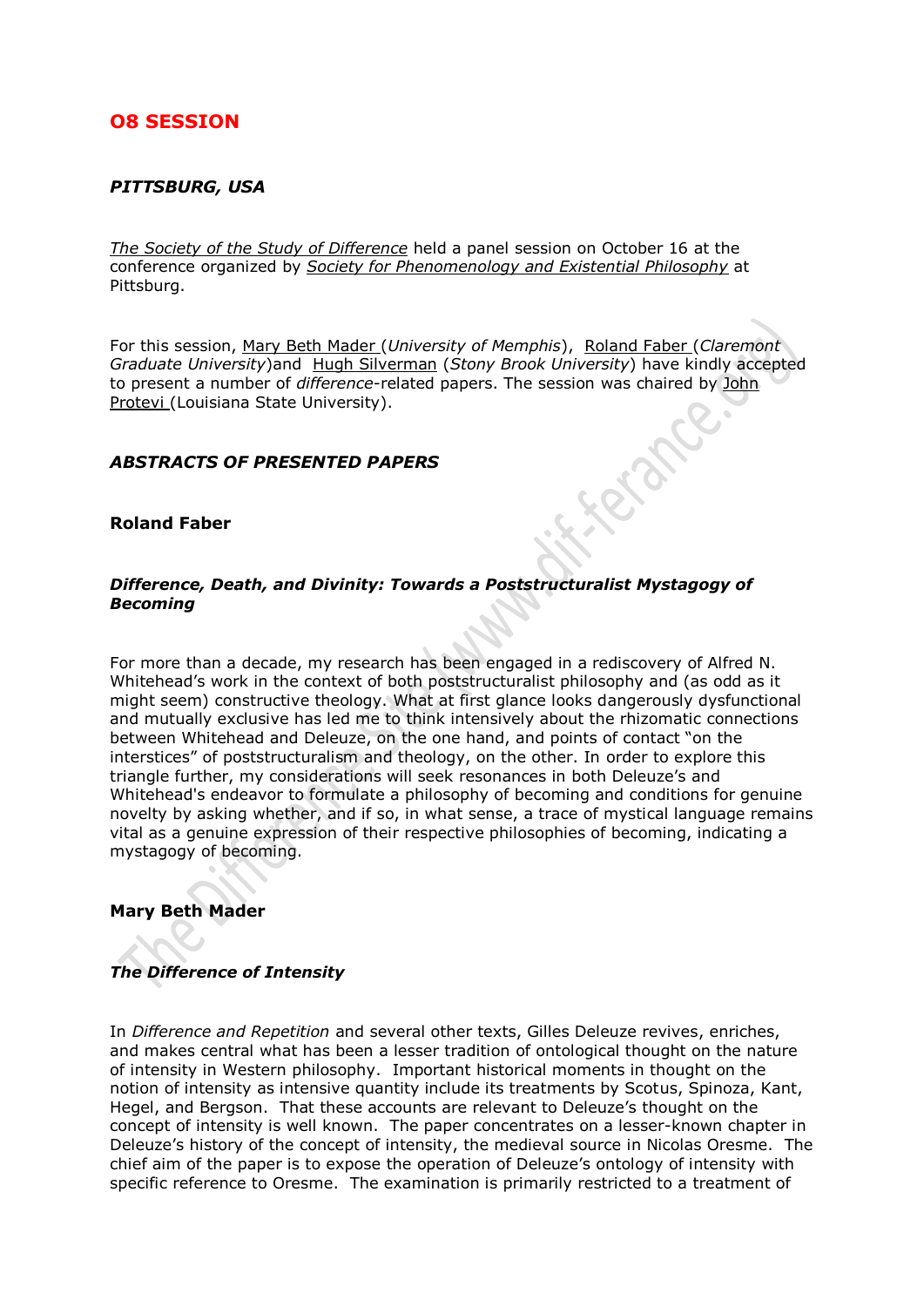## **O8 SESSION**

## *PITTSBURG, USA*

*[The Society of the Study of Difference](http://www.dif-ferance.org/29601/index.html)* held a panel session on October 16 at the conference organized by *[Society for Phenomenology and Existential Philosophy](http://www.spep.org/)* at Pittsburg.

For this session, [Mary Beth Mader](http://www.dif-ferance.org/4771/78145.html) (*University of Memphis*), [Roland Faber](http://www.dif-ferance.org/4771/78136.html) (*Claremont Graduate University*)and [Hugh Silverman](http://www.dif-ferance.org/4771/69638.html) (Stony Brook University) have kindly accepted to present a number of *difference*-related papers. The session was chaired by [John](http://www.dif-ferance.org/4771/58601.html)  [Protevi](http://www.dif-ferance.org/4771/58601.html) (Louisiana State University).

### *ABSTRACTS OF PRESENTED PAPERS*

#### **Roland Faber**

#### *Difference, Death, and Divinity: Towards a Poststructuralist Mystagogy of Becoming*

For more than a decade, my research has been engaged in a rediscovery of Alfred N. Whitehead's work in the context of both poststructuralist philosophy and (as odd as it might seem) constructive theology. What at first glance looks dangerously dysfunctional and mutually exclusive has led me to think intensively about the rhizomatic connections between Whitehead and Deleuze, on the one hand, and points of contact "on the interstices" of poststructuralism and theology, on the other. In order to explore this triangle further, my considerations will seek resonances in both Deleuze's and Whitehead's endeavor to formulate a philosophy of becoming and conditions for genuine novelty by asking whether, and if so, in what sense, a trace of mystical language remains vital as a genuine expression of their respective philosophies of becoming, indicating a mystagogy of becoming.

## **Mary Beth Mader**

#### *The Difference of Intensity*

In *Difference and Repetition* and several other texts, Gilles Deleuze revives, enriches, and makes central what has been a lesser tradition of ontological thought on the nature of intensity in Western philosophy. Important historical moments in thought on the notion of intensity as intensive quantity include its treatments by Scotus, Spinoza, Kant, Hegel, and Bergson. That these accounts are relevant to Deleuze's thought on the concept of intensity is well known. The paper concentrates on a lesser-known chapter in Deleuze's history of the concept of intensity, the medieval source in Nicolas Oresme. The chief aim of the paper is to expose the operation of Deleuze's ontology of intensity with specific reference to Oresme. The examination is primarily restricted to a treatment of